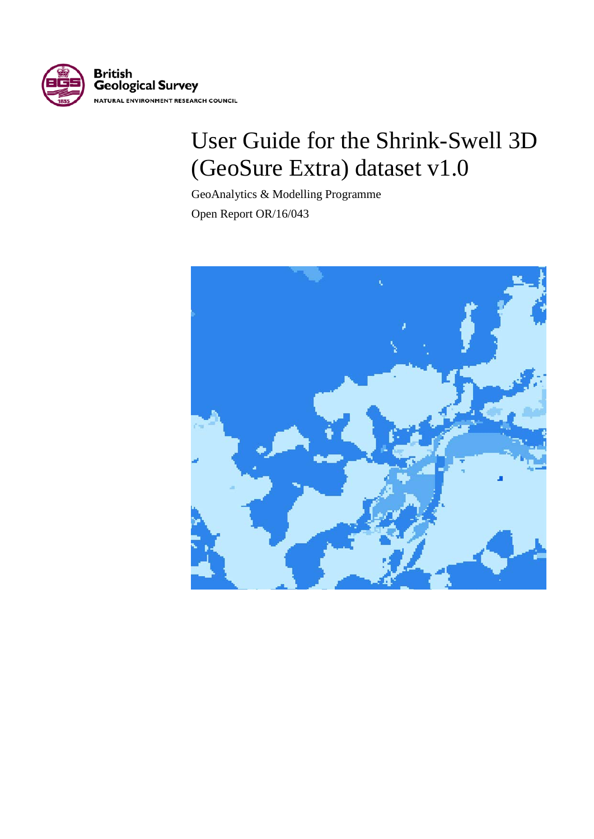

# User Guide for the Shrink-Swell 3D (GeoSure Extra) dataset v1.0

GeoAnalytics & Modelling Programme

Open Report OR/16/043

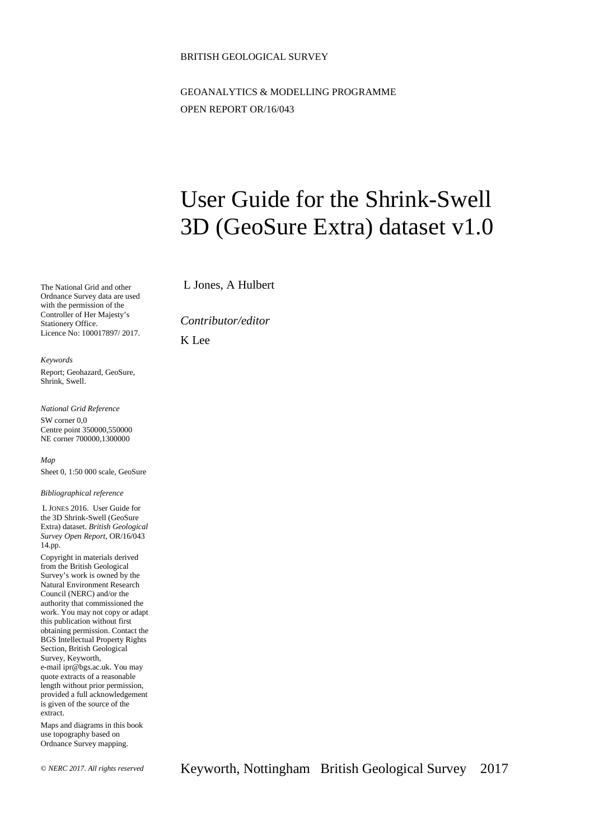#### BRITISH GEOLOGICAL SURVEY

GEOANALYTICS & MODELLING PROGRAMME OPEN REPORT OR/16/043

# User Guide for the Shrink-Swell 3D (GeoSure Extra) dataset v1.0

L Jones, A Hulbert

*Contributor/editor*

K Lee

*Keywords*

Shrink, Swell.

*National Grid Reference*

The National Grid and other Ordnance Survey data are used with the permission of the Controller of Her Majesty's Stationery Office.

Licence No: 100017897/ 2017.

Report; Geohazard, GeoSure,

SW corner 0,0 Centre point 350000,550000 NE corner 700000,1300000

*Map* Sheet 0, 1:50 000 scale, GeoSure

*Bibliographical reference*

L JONES 2016. User Guide for the 3D Shrink-Swell (GeoSure Extra) dataset. *British Geological Survey Open Report*, OR/16/043 14.pp.

Copyright in materials derived from the British Geological Survey's work is owned by the Natural Environment Research Council (NERC) and/or the authority that commissioned the work. You may not copy or adapt this publication without first obtaining permission. Contact the BGS Intellectual Property Rights Section, British Geological Survey, Keyworth, e-mail ipr@bgs.ac.uk. You may quote extracts of a reasonable length without prior permission, provided a full acknowledgement is given of the source of the extract.

Maps and diagrams in this book use topography based on Ordnance Survey mapping.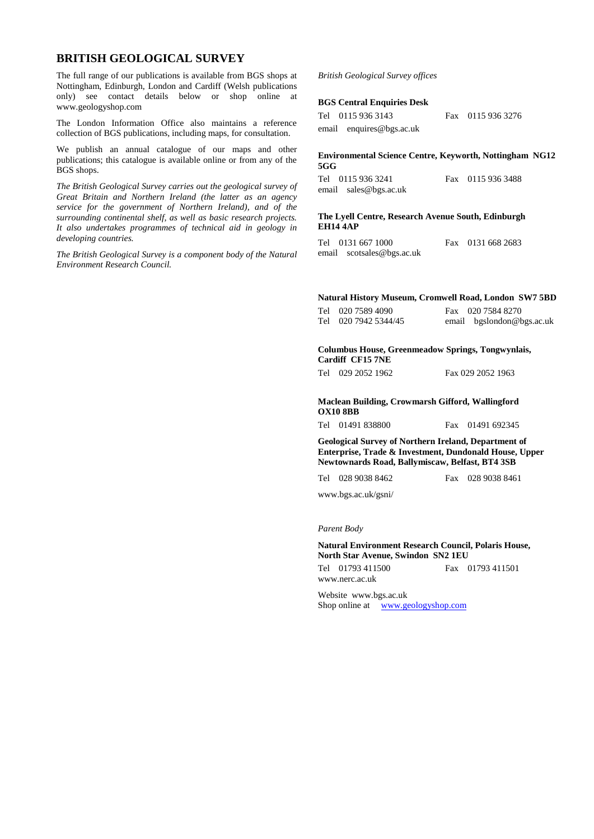#### **BRITISH GEOLOGICAL SURVEY**

The full range of our publications is available from BGS shops at Nottingham, Edinburgh, London and Cardiff (Welsh publications only) see contact details below or shop online at www.geologyshop.com

The London Information Office also maintains a reference collection of BGS publications, including maps, for consultation.

We publish an annual catalogue of our maps and other publications; this catalogue is available online or from any of the BGS shops.

*The British Geological Survey carries out the geological survey of Great Britain and Northern Ireland (the latter as an agency service for the government of Northern Ireland), and of the surrounding continental shelf, as well as basic research projects. It also undertakes programmes of technical aid in geology in developing countries.*

*The British Geological Survey is a component body of the Natural Environment Research Council.*

#### *British Geological Survey offices*

#### **BGS Central Enquiries Desk**

| Tel 0115 936 3143        | Fax 0115 936 3276 |
|--------------------------|-------------------|
| email enquires@bgs.ac.uk |                   |

#### **Environmental Science Centre, Keyworth, Nottingham NG12 5GG**

| Tel 0115 936 3241     | Fax 0115 936 3488 |
|-----------------------|-------------------|
| email sales@bgs.ac.uk |                   |

#### **The Lyell Centre, Research Avenue South, Edinburgh EH14 4AP**

| Tel 0131 667 1000         | Fax 0131 668 2683 |
|---------------------------|-------------------|
| email scotsales@bgs.ac.uk |                   |

#### **Natural History Museum, Cromwell Road, London SW7 5BD**

| Tel 020 7589 4090    | Fax 020 7584 8270         |
|----------------------|---------------------------|
| Tel 020 7942 5344/45 | email bgslondon@bgs.ac.uk |

**Columbus House, Greenmeadow Springs, Tongwynlais, Cardiff CF15 7NE**

Tel 029 2052 1962 Fax 029 2052 1963

**Maclean Building, Crowmarsh Gifford, Wallingford OX10 8BB**

| Tel 01491 838800 |  |  |  | Fax 01491 692345 |
|------------------|--|--|--|------------------|
|------------------|--|--|--|------------------|

**Geological Survey of Northern Ireland, Department of Enterprise, Trade & Investment, Dundonald House, Upper Newtownards Road, Ballymiscaw, Belfast, BT4 3SB**

Tel 028 9038 8462 Fax 028 9038 8461

www.bgs.ac.uk/gsni/

#### *Parent Body*

**Natural Environment Research Council, Polaris House, North Star Avenue, Swindon SN2 1EU**

| Tel 01793 411500 | Fax 01793 411501 |
|------------------|------------------|
| www.nerc.ac.uk   |                  |

Website www.bgs.ac.uk Shop online at *[www.geologyshop.com](http://www.geologyshop.com/)*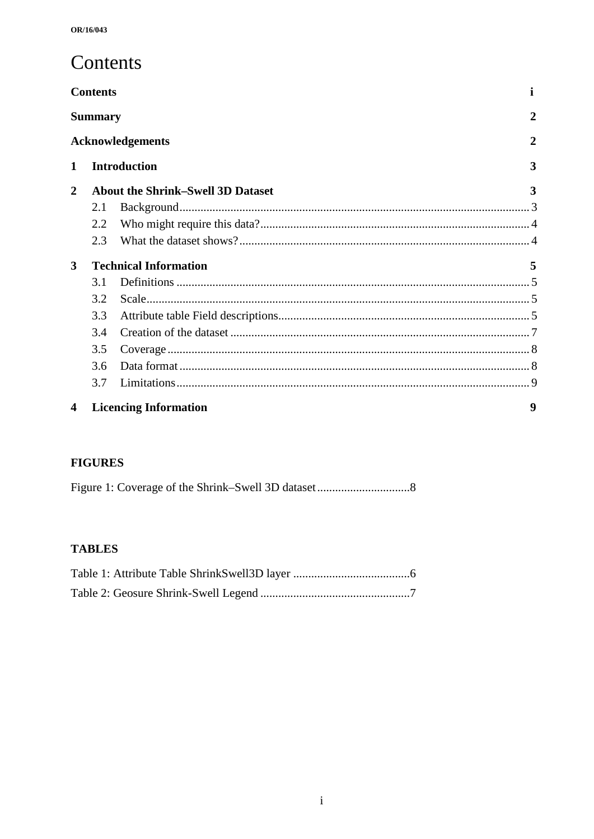## Contents

|                | <b>Contents</b> |                                          | п |
|----------------|-----------------|------------------------------------------|---|
|                | <b>Summary</b>  |                                          | 2 |
|                |                 | <b>Acknowledgements</b>                  | 2 |
| 1              |                 | <b>Introduction</b>                      | 3 |
| $\overline{2}$ |                 | <b>About the Shrink–Swell 3D Dataset</b> | 3 |
|                | 2.1             |                                          |   |
|                | 2.2             |                                          |   |
|                | 2.3             |                                          |   |
| 3              |                 | <b>Technical Information</b>             | 5 |
|                | 3.1             |                                          |   |
|                | 3.2             |                                          |   |
|                | 3.3             |                                          |   |
|                | 3.4             |                                          |   |
|                | 3.5             |                                          |   |
|                | 3.6             |                                          |   |
|                | 3.7             |                                          |   |
| 4              |                 | <b>Licencing Information</b>             | 9 |

### **FIGURES**

### **TABLES**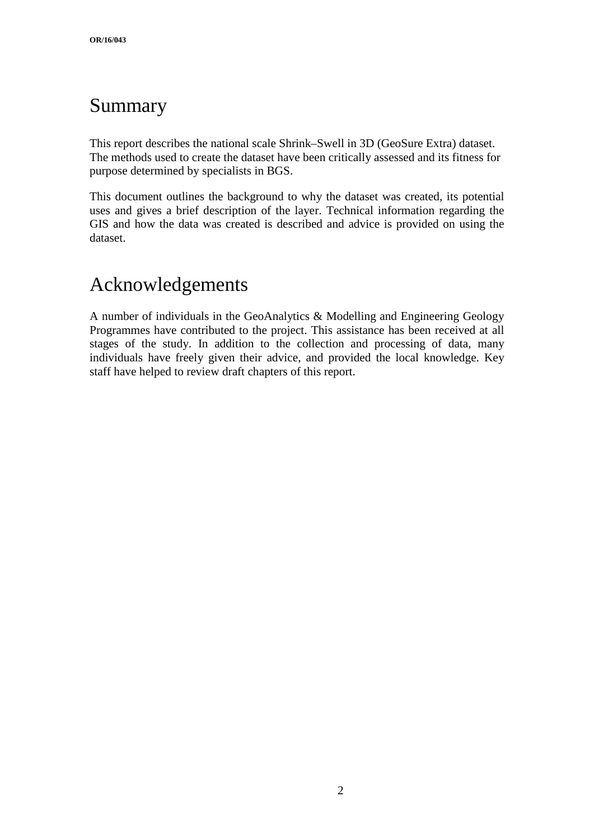## Summary

This report describes the national scale Shrink–Swell in 3D (GeoSure Extra) dataset. The methods used to create the dataset have been critically assessed and its fitness for purpose determined by specialists in BGS.

This document outlines the background to why the dataset was created, its potential uses and gives a brief description of the layer. Technical information regarding the GIS and how the data was created is described and advice is provided on using the dataset.

## Acknowledgements

A number of individuals in the GeoAnalytics & Modelling and Engineering Geology Programmes have contributed to the project. This assistance has been received at all stages of the study. In addition to the collection and processing of data, many individuals have freely given their advice, and provided the local knowledge. Key staff have helped to review draft chapters of this report.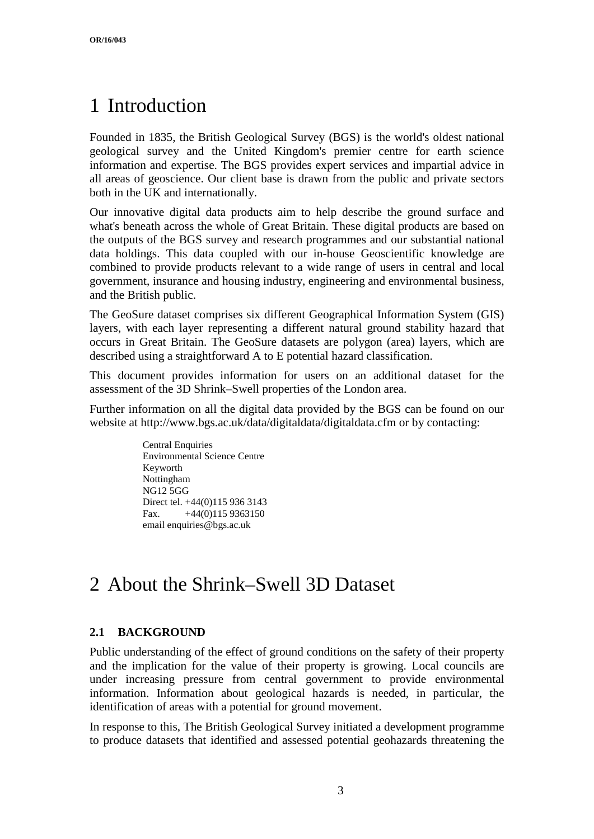## 1 Introduction

Founded in 1835, the British Geological Survey (BGS) is the world's oldest national geological survey and the United Kingdom's premier centre for earth science information and expertise. The BGS provides expert services and impartial advice in all areas of geoscience. Our client base is drawn from the public and private sectors both in the UK and internationally.

Our innovative digital data products aim to help describe the ground surface and what's beneath across the whole of Great Britain. These digital products are based on the outputs of the BGS survey and research programmes and our substantial national data holdings. This data coupled with our in-house Geoscientific knowledge are combined to provide products relevant to a wide range of users in central and local government, insurance and housing industry, engineering and environmental business, and the British public.

The GeoSure dataset comprises six different Geographical Information System (GIS) layers, with each layer representing a different natural ground stability hazard that occurs in Great Britain. The GeoSure datasets are polygon (area) layers, which are described using a straightforward A to E potential hazard classification.

This document provides information for users on an additional dataset for the assessment of the 3D Shrink–Swell properties of the London area.

Further information on all the digital data provided by the BGS can be found on our website at http://www.bgs.ac.uk/data/digitaldata/digitaldata.cfm or by contacting:

> Central Enquiries Environmental Science Centre Keyworth Nottingham NG12 5GG Direct tel. +44(0)115 936 3143 Fax.  $+44(0)1159363150$ email enquiries@bgs.ac.uk

## 2 About the Shrink–Swell 3D Dataset

### **2.1 BACKGROUND**

Public understanding of the effect of ground conditions on the safety of their property and the implication for the value of their property is growing. Local councils are under increasing pressure from central government to provide environmental information. Information about geological hazards is needed, in particular, the identification of areas with a potential for ground movement.

In response to this, The British Geological Survey initiated a development programme to produce datasets that identified and assessed potential geohazards threatening the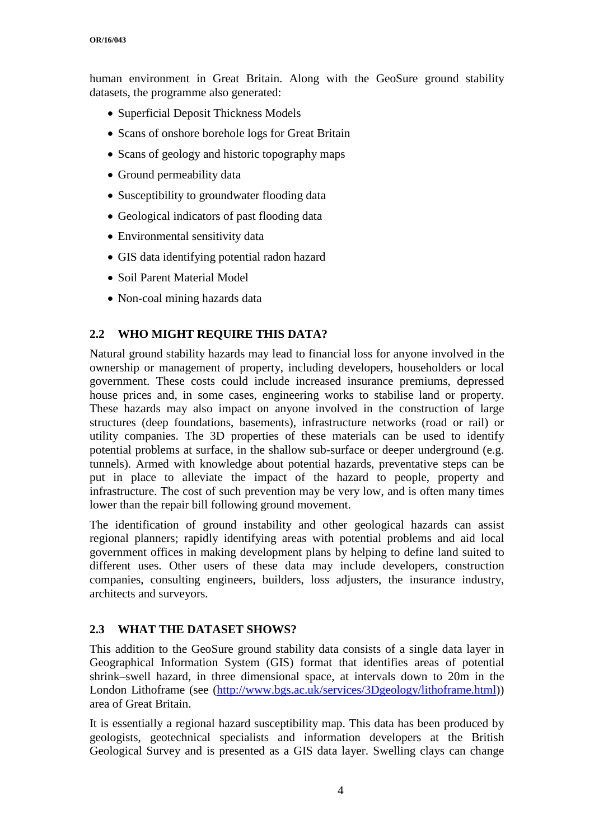human environment in Great Britain. Along with the GeoSure ground stability datasets, the programme also generated:

- Superficial Deposit Thickness Models
- Scans of onshore borehole logs for Great Britain
- Scans of geology and historic topography maps
- Ground permeability data
- Susceptibility to groundwater flooding data
- Geological indicators of past flooding data
- Environmental sensitivity data
- GIS data identifying potential radon hazard
- Soil Parent Material Model
- Non-coal mining hazards data

#### **2.2 WHO MIGHT REQUIRE THIS DATA?**

Natural ground stability hazards may lead to financial loss for anyone involved in the ownership or management of property, including developers, householders or local government. These costs could include increased insurance premiums, depressed house prices and, in some cases, engineering works to stabilise land or property. These hazards may also impact on anyone involved in the construction of large structures (deep foundations, basements), infrastructure networks (road or rail) or utility companies. The 3D properties of these materials can be used to identify potential problems at surface, in the shallow sub-surface or deeper underground (e.g. tunnels). Armed with knowledge about potential hazards, preventative steps can be put in place to alleviate the impact of the hazard to people, property and infrastructure. The cost of such prevention may be very low, and is often many times lower than the repair bill following ground movement.

The identification of ground instability and other geological hazards can assist regional planners; rapidly identifying areas with potential problems and aid local government offices in making development plans by helping to define land suited to different uses. Other users of these data may include developers, construction companies, consulting engineers, builders, loss adjusters, the insurance industry, architects and surveyors.

#### **2.3 WHAT THE DATASET SHOWS?**

This addition to the GeoSure ground stability data consists of a single data layer in Geographical Information System (GIS) format that identifies areas of potential shrink–swell hazard, in three dimensional space, at intervals down to 20m in the London Lithoframe (see [\(http://www.bgs.ac.uk/services/3Dgeology/lithoframe.html\)](http://www.bgs.ac.uk/services/3Dgeology/lithoframe.html)) area of Great Britain.

It is essentially a regional hazard susceptibility map. This data has been produced by geologists, geotechnical specialists and information developers at the British Geological Survey and is presented as a GIS data layer. Swelling clays can change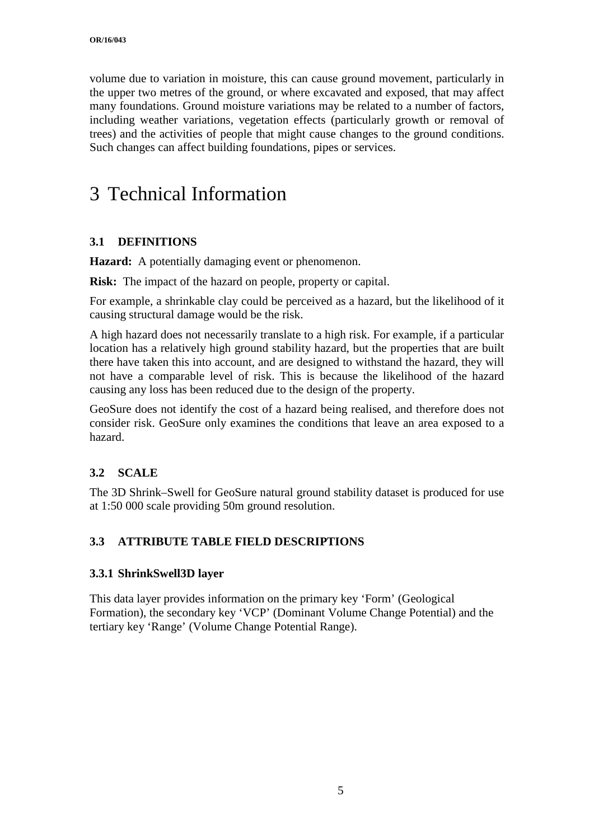volume due to variation in moisture, this can cause ground movement, particularly in the upper two metres of the ground, or where excavated and exposed, that may affect many foundations. Ground moisture variations may be related to a number of factors, including weather variations, vegetation effects (particularly growth or removal of trees) and the activities of people that might cause changes to the ground conditions. Such changes can affect building foundations, pipes or services.

## 3 Technical Information

### **3.1 DEFINITIONS**

**Hazard:** A potentially damaging event or phenomenon.

**Risk:** The impact of the hazard on people, property or capital.

For example, a shrinkable clay could be perceived as a hazard, but the likelihood of it causing structural damage would be the risk.

A high hazard does not necessarily translate to a high risk. For example, if a particular location has a relatively high ground stability hazard, but the properties that are built there have taken this into account, and are designed to withstand the hazard, they will not have a comparable level of risk. This is because the likelihood of the hazard causing any loss has been reduced due to the design of the property.

GeoSure does not identify the cost of a hazard being realised, and therefore does not consider risk. GeoSure only examines the conditions that leave an area exposed to a hazard.

#### **3.2 SCALE**

The 3D Shrink–Swell for GeoSure natural ground stability dataset is produced for use at 1:50 000 scale providing 50m ground resolution.

### **3.3 ATTRIBUTE TABLE FIELD DESCRIPTIONS**

#### **3.3.1 ShrinkSwell3D layer**

This data layer provides information on the primary key 'Form' (Geological Formation), the secondary key 'VCP' (Dominant Volume Change Potential) and the tertiary key 'Range' (Volume Change Potential Range).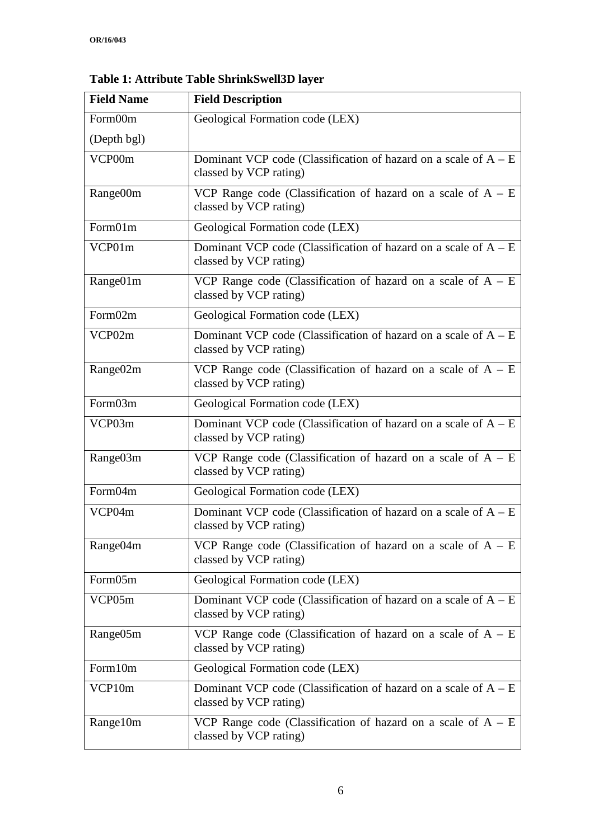| <b>Field Name</b>    | <b>Field Description</b>                                                                    |
|----------------------|---------------------------------------------------------------------------------------------|
| Form00m              | Geological Formation code (LEX)                                                             |
| (Depth bgl)          |                                                                                             |
| VCP00m               | Dominant VCP code (Classification of hazard on a scale of $A - E$<br>classed by VCP rating) |
| Range00m             | VCP Range code (Classification of hazard on a scale of $A - E$<br>classed by VCP rating)    |
| Form01m              | Geological Formation code (LEX)                                                             |
| VCP01m               | Dominant VCP code (Classification of hazard on a scale of $A - E$<br>classed by VCP rating) |
| Range01m             | VCP Range code (Classification of hazard on a scale of $A - E$<br>classed by VCP rating)    |
| Form02m              | Geological Formation code (LEX)                                                             |
| VCP02m               | Dominant VCP code (Classification of hazard on a scale of $A - E$<br>classed by VCP rating) |
| Range <sub>02m</sub> | VCP Range code (Classification of hazard on a scale of $A - E$<br>classed by VCP rating)    |
| Form03m              | Geological Formation code (LEX)                                                             |
| VCP03m               | Dominant VCP code (Classification of hazard on a scale of $A - E$<br>classed by VCP rating) |
| Range <sub>03m</sub> | VCP Range code (Classification of hazard on a scale of $A - E$<br>classed by VCP rating)    |
| Form04m              | Geological Formation code (LEX)                                                             |
| VCP04m               | Dominant VCP code (Classification of hazard on a scale of $A - E$<br>classed by VCP rating) |
| Range04m             | VCP Range code (Classification of hazard on a scale of $A - E$<br>classed by VCP rating)    |
| Form05m              | Geological Formation code (LEX)                                                             |
| VCP05m               | Dominant VCP code (Classification of hazard on a scale of $A - E$<br>classed by VCP rating) |
| Range05m             | VCP Range code (Classification of hazard on a scale of $A - E$<br>classed by VCP rating)    |
| Form10m              | Geological Formation code (LEX)                                                             |
| VCP10m               | Dominant VCP code (Classification of hazard on a scale of $A - E$<br>classed by VCP rating) |
| Range10m             | VCP Range code (Classification of hazard on a scale of $A - E$<br>classed by VCP rating)    |

**Table 1: Attribute Table ShrinkSwell3D layer**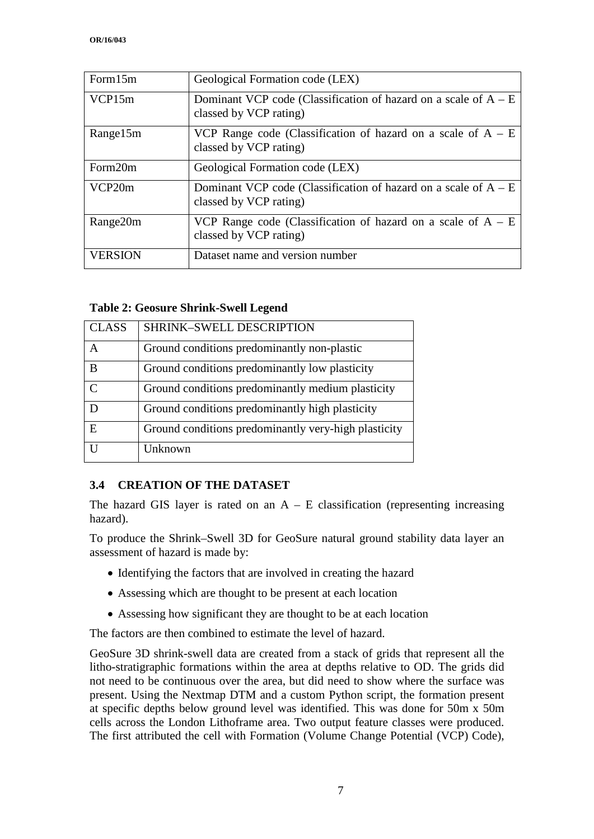| Form15m        | Geological Formation code (LEX)                                                             |
|----------------|---------------------------------------------------------------------------------------------|
| VCP15m         | Dominant VCP code (Classification of hazard on a scale of $A - E$<br>classed by VCP rating) |
| Range15m       | VCP Range code (Classification of hazard on a scale of $A - E$<br>classed by VCP rating)    |
| Form20m        | Geological Formation code (LEX)                                                             |
| VCP20m         | Dominant VCP code (Classification of hazard on a scale of $A - E$<br>classed by VCP rating) |
| Range20m       | VCP Range code (Classification of hazard on a scale of $A - E$<br>classed by VCP rating)    |
| <b>VERSION</b> | Dataset name and version number                                                             |

#### **Table 2: Geosure Shrink-Swell Legend**

| <b>CLASS</b>  | SHRINK-SWELL DESCRIPTION                             |
|---------------|------------------------------------------------------|
| A             | Ground conditions predominantly non-plastic          |
| B             | Ground conditions predominantly low plasticity       |
| $\mathcal{C}$ | Ground conditions predominantly medium plasticity    |
|               | Ground conditions predominantly high plasticity      |
| E             | Ground conditions predominantly very-high plasticity |
| ΙI            | Unknown                                              |

#### **3.4 CREATION OF THE DATASET**

The hazard GIS layer is rated on an  $A - E$  classification (representing increasing hazard).

To produce the Shrink–Swell 3D for GeoSure natural ground stability data layer an assessment of hazard is made by:

- Identifying the factors that are involved in creating the hazard
- Assessing which are thought to be present at each location
- Assessing how significant they are thought to be at each location

The factors are then combined to estimate the level of hazard.

GeoSure 3D shrink-swell data are created from a stack of grids that represent all the litho-stratigraphic formations within the area at depths relative to OD. The grids did not need to be continuous over the area, but did need to show where the surface was present. Using the Nextmap DTM and a custom Python script, the formation present at specific depths below ground level was identified. This was done for 50m x 50m cells across the London Lithoframe area. Two output feature classes were produced. The first attributed the cell with Formation (Volume Change Potential (VCP) Code),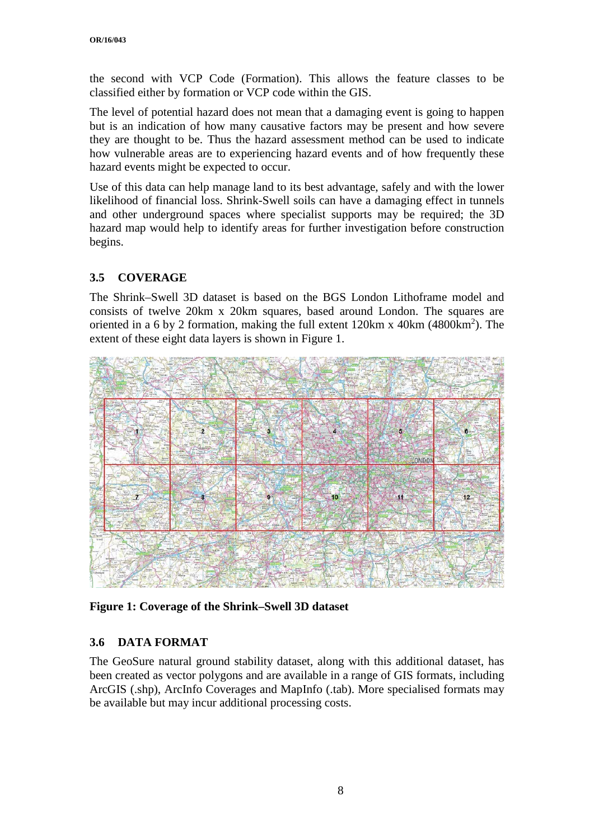the second with VCP Code (Formation). This allows the feature classes to be classified either by formation or VCP code within the GIS.

The level of potential hazard does not mean that a damaging event is going to happen but is an indication of how many causative factors may be present and how severe they are thought to be. Thus the hazard assessment method can be used to indicate how vulnerable areas are to experiencing hazard events and of how frequently these hazard events might be expected to occur.

Use of this data can help manage land to its best advantage, safely and with the lower likelihood of financial loss. Shrink-Swell soils can have a damaging effect in tunnels and other underground spaces where specialist supports may be required; the 3D hazard map would help to identify areas for further investigation before construction begins.

### **3.5 COVERAGE**

The Shrink–Swell 3D dataset is based on the BGS London Lithoframe model and consists of twelve 20km x 20km squares, based around London. The squares are oriented in a 6 by 2 formation, making the full extent  $120 \text{km} \times 40 \text{km} (4800 \text{km}^2)$ . The extent of these eight data layers is shown in Figure 1.



**Figure 1: Coverage of the Shrink–Swell 3D dataset**

#### **3.6 DATA FORMAT**

The GeoSure natural ground stability dataset, along with this additional dataset, has been created as vector polygons and are available in a range of GIS formats, including ArcGIS (.shp), ArcInfo Coverages and MapInfo (.tab). More specialised formats may be available but may incur additional processing costs.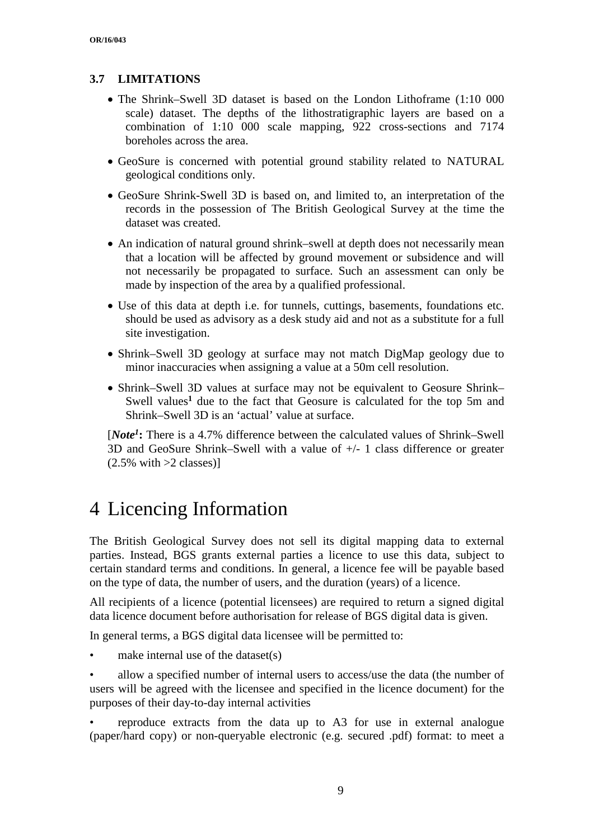### **3.7 LIMITATIONS**

- The Shrink–Swell 3D dataset is based on the London Lithoframe (1:10 000 scale) dataset. The depths of the lithostratigraphic layers are based on a combination of 1:10 000 scale mapping, 922 cross-sections and 7174 boreholes across the area.
- GeoSure is concerned with potential ground stability related to NATURAL geological conditions only.
- GeoSure Shrink-Swell 3D is based on, and limited to, an interpretation of the records in the possession of The British Geological Survey at the time the dataset was created.
- An indication of natural ground shrink–swell at depth does not necessarily mean that a location will be affected by ground movement or subsidence and will not necessarily be propagated to surface. Such an assessment can only be made by inspection of the area by a qualified professional.
- Use of this data at depth i.e. for tunnels, cuttings, basements, foundations etc. should be used as advisory as a desk study aid and not as a substitute for a full site investigation.
- Shrink–Swell 3D geology at surface may not match DigMap geology due to minor inaccuracies when assigning a value at a 50m cell resolution.
- Shrink–Swell 3D values at surface may not be equivalent to Geosure Shrink– Swell values<sup>1</sup> due to the fact that Geosure is calculated for the top 5m and Shrink–Swell 3D is an 'actual' value at surface.

[*Note1***:** There is a 4.7% difference between the calculated values of Shrink–Swell 3D and GeoSure Shrink–Swell with a value of +/- 1 class difference or greater  $(2.5\% \text{ with } >2 \text{ classes})$ 

## 4 Licencing Information

The British Geological Survey does not sell its digital mapping data to external parties. Instead, BGS grants external parties a licence to use this data, subject to certain standard terms and conditions. In general, a licence fee will be payable based on the type of data, the number of users, and the duration (years) of a licence.

All recipients of a licence (potential licensees) are required to return a signed digital data licence document before authorisation for release of BGS digital data is given.

In general terms, a BGS digital data licensee will be permitted to:

make internal use of the dataset $(s)$ 

• allow a specified number of internal users to access/use the data (the number of users will be agreed with the licensee and specified in the licence document) for the purposes of their day-to-day internal activities

• reproduce extracts from the data up to A3 for use in external analogue (paper/hard copy) or non-queryable electronic (e.g. secured .pdf) format: to meet a